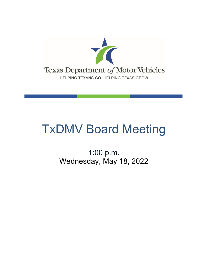

# TxDMV Board Meeting

1:00 p.m. Wednesday, May 18, 2022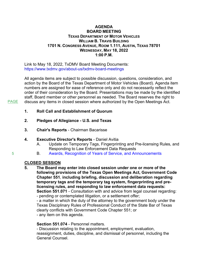#### **AGENDA BOARD MEETING TEXAS DEPARTMENT OF MOTOR VEHICLES WILLIAM B. TRAVIS BUILDING 1701 N. CONGRESS AVENUE, ROOM 1.111, AUSTIN, TEXAS 78701 WEDNESDAY, MAY 18, 2022 1:00 P.M.**

Link to May 18, 2022, TxDMV Board Meeting Documents: <https://www.txdmv.gov/about-us/txdmv-board-meetings>

All agenda items are subject to possible discussion, questions, consideration, and action by the Board of the Texas Department of Motor Vehicles (Board). Agenda item numbers are assigned for ease of reference only and do not necessarily reflect the order of their consideration by the Board. Presentations may be made by the identified staff, Board member or other personnel as needed. The Board reserves the right to discuss any items in closed session where authorized by the Open Meetings Act.

- **1. Roll Call and Establishment of Quorum**
- **2. Pledges of Allegiance U.S. and Texas**
- **3. Chair's Reports** Chairman Bacarisse
- **4. Executive Director's Reports** Daniel Avitia
	- A. Update on Temporary Tags, Fingerprinting and Pre-licensing Rules, and Responding to Law Enforcement Data Requests
	- B. [Awards, Recognition of Years of Service, and Announcements](#page-4-0)

# **CLOSED SESSION**

**5. The Board may enter into closed session under one or more of the following provisions of the Texas Open Meetings Act, Government Code Chapter 551**, **including briefing, discussion and deliberation regarding temporary tags and the temporary tag system, fingerprinting and prelicensing rules, and responding to law enforcement data requests: Section 551.071** - Consultation with and advice from legal counsel regarding: - pending or contemplated litigation, or a settlement offer;

- a matter in which the duty of the attorney to the government body under the Texas Disciplinary Rules of Professional Conduct of the State Bar of Texas clearly conflicts with Government Code Chapter 551; or - any item on this agenda.

# **Section 551.074** - Personnel matters.

- Discussion relating to the appointment, employment, evaluation, reassignment, duties, discipline, and dismissal of personnel, including the General Counsel.

[5](#page-4-0)

PAGE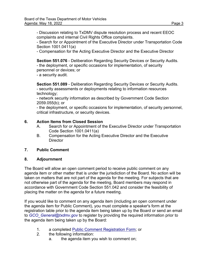- Discussion relating to TxDMV dispute resolution process and recent EEOC complaints and internal Civil Rights Office complaints.

- Search for or Appointment of the Executive Director under Transportation Code Section 1001.0411(a)

- Compensation for the Acting Executive Director and the Executive Director

**Section 551.076** - Deliberation Regarding Security Devices or Security Audits. - the deployment, or specific occasions for implementation, of security personnel or devices; or

- a security audit.

**Section 551.089** - Deliberation Regarding Security Devices or Security Audits. - security assessments or deployments relating to information resources technology;

- network security information as described by Government Code Section 2059.055(b); or

- the deployment, or specific occasions for implementation, of security personnel, critical infrastructure, or security devices.

# **6. Action Items from Closed Session**

- A. Search for or Appointment of the Executive Director under Transportation Code Section 1001.0411(a)
- B. Compensation for the Acting Executive Director and the Executive **Director**

# **7. Public Comment**

# **8. Adjournment**

The Board will allow an open comment period to receive public comment on any agenda item or other matter that is under the jurisdiction of the Board. No action will be taken on matters that are not part of the agenda for the meeting. For subjects that are not otherwise part of the agenda for the meeting, Board members may respond in accordance with Government Code Section 551.042 and consider the feasibility of placing the matter on the agenda for a future meeting.

If you would like to comment on any agenda item (including an open comment under the agenda item for Public Comment), you must complete a speaker's form at the registration table prior to the agenda item being taken up by the Board or send an email to *[GCO\\_General@txdmv.gov](mailto:GCO_General@txdmv.gov)* to register by providing the required information prior to the agenda item being taken up by the Board:

- 1. a completed [Public Comment Registration Form;](https://www.txdmv.gov/sites/default/files/board-meeting/materials/2020.1020%20Public%20Comment%20Registration%20Form.pdf) or
- 2. the following information:
	- a. the agenda item you wish to comment on;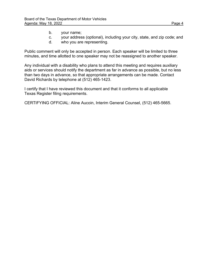- b. your name;
- c. your address (optional), including your city, state, and zip code; and
- d. who you are representing.

Public comment will only be accepted in person. Each speaker will be limited to three minutes, and time allotted to one speaker may not be reassigned to another speaker.

Any individual with a disability who plans to attend this meeting and requires auxiliary aids or services should notify the department as far in advance as possible, but no less than two days in advance, so that appropriate arrangements can be made. Contact David Richards by telephone at (512) 465-1423.

I certify that I have reviewed this document and that it conforms to all applicable Texas Register filing requirements.

CERTIFYING OFFICIAL: Aline Aucoin, Interim General Counsel, (512) 465-5665.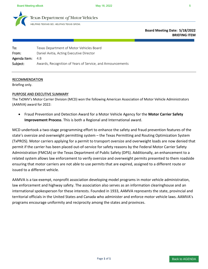<span id="page-4-0"></span>

exas Department of Motor Vehicles

HELPING TEXANS GO. HELPING TEXAS GROW.

**Board Meeting Date: 5/18/2022 BRIEFING ITEM**

| To:          | Texas Department of Motor Vehicles Board                   |
|--------------|------------------------------------------------------------|
| From:        | Daniel Avitia, Acting Executive Director                   |
| Agenda Item: | 4.B                                                        |
| Subject:     | Awards, Recognition of Years of Service, and Announcements |

#### RECOMMENDATION

Briefing only.

#### PURPOSE AND EXECUTIVE SUMMARY

The TxDMV's Motor Carrier Division (MCD) won the following American Association of Motor Vehicle Administrators (AAMVA) award for 2022:

• Fraud Prevention and Detection Award for a Motor Vehicle Agency for the **Motor Carrier Safety Improvement Process**. This is both a Regional and International award.

MCD undertook a two-stage programming effort to enhance the safety and fraud prevention features of the state's oversize and overweight permitting system – the Texas Permitting and Routing Optimization System (TxPROS). Motor carriers applying for a permit to transport oversize and overweight loads are now denied that permit if the carrier has been placed out-of-service for safety reasons by the Federal Motor Carrier Safety Administration (FMCSA) or the Texas Department of Public Safety (DPS). Additionally, an enhancement to a related system allows law enforcement to verify oversize and overweight permits presented to them roadside ensuring that motor carriers are not able to use permits that are expired, assigned to a different route or issued to a different vehicle.

AAMVA is a tax-exempt, nonprofit association developing model programs in motor vehicle administration, law enforcement and highway safety. The association also serves as an information clearinghouse and an international spokesperson for these interests. Founded in 1933, AAMVA represents the state, provincial and territorial officials in the United States and Canada who administer and enforce motor vehicle laws. AAMVA's programs encourage uniformity and reciprocity among the states and provinces.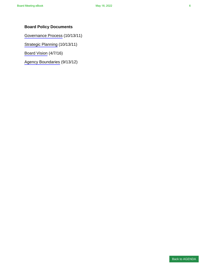# **Board Policy Documents**

[Governance Process](#page-6-0) (10/13/11)

[Strategic Planning](#page-11-0) (10/13/11)

[Board Vision](#page-13-0) (4/7/16)

[Agency Boundaries](#page-18-0) (9/13/12)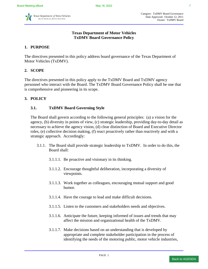<span id="page-6-0"></span>

#### **Texas Department of Motor Vehicles TxDMV Board Governance Policy**

# **1. PURPOSE**

The directives presented in this policy address board governance of the Texas Department of Motor Vehicles (TxDMV).

# **2. SCOPE**

The directives presented in this policy apply to the TxDMV Board and TxDMV agency personnel who interact with the Board. The TxDMV Board Governance Policy shall be one that is comprehensive and pioneering in its scope.

#### **3. POLICY**

#### **3.1. TxDMV Board Governing Style**

The Board shall govern according to the following general principles: (a) a vision for the agency, (b) diversity in points of view, (c) strategic leadership, providing day-to-day detail as necessary to achieve the agency vision, (d) clear distinction of Board and Executive Director roles, (e) collective decision making, (f) react proactively rather than reactively and with a strategic approach. Accordingly:

- 3.1.1. The Board shall provide strategic leadership to TxDMV. In order to do this, the Board shall:
	- 3.1.1.1. Be proactive and visionary in its thinking.
	- 3.1.1.2. Encourage thoughtful deliberation, incorporating a diversity of viewpoints.
	- 3.1.1.3. Work together as colleagues, encouraging mutual support and good humor.
	- 3.1.1.4. Have the courage to lead and make difficult decisions.
	- 3.1.1.5. Listen to the customers and stakeholders needs and objectives.
	- 3.1.1.6. Anticipate the future, keeping informed of issues and trends that may affect the mission and organizational health of the TxDMV.
	- 3.1.1.7. Make decisions based on an understanding that is developed by appropriate and complete stakeholder participation in the process of identifying the needs of the motoring public, motor vehicle industries,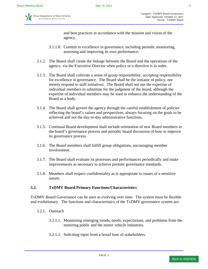

and best practices in accordance with the mission and vision of the agency.

- 3.1.1.8. Commit to excellence in governance, including periodic monitoring, assessing and improving its own performance.
- 3.1.2. The Board shall create the linkage between the Board and the operations of the agency, via the Executive Director when policy or a directive is in order.
- 3.1.3. The Board shall cultivate a sense of group responsibility, accepting responsibility for excellence in governance. The Board shall be the initiator of policy, not merely respond to staff initiatives. The Board shall not use the expertise of individual members to substitute for the judgment of the board, although the expertise of individual members may be used to enhance the understanding of the Board as a body.
- 3.1.4. The Board shall govern the agency through the careful establishment of policies reflecting the board's values and perspectives, always focusing on the goals to be achieved and not the day-to-day administrative functions.
- 3.1.5. Continual Board development shall include orientation of new Board members in the board's governance process and periodic board discussion of how to improve its governance process.
- 3.1.6. The Board members shall fulfill group obligations, encouraging member involvement.
- 3.1.7. The Board shall evaluate its processes and performances periodically and make improvements as necessary to achieve premier governance standards.
- 3.1.8. Members shall respect confidentiality as is appropriate to issues of a sensitive nature.

#### **3.2. TxDMV Board Primary Functions/Characteristics**

TxDMV Board Governance can be seen as evolving over time. The system must be flexible and evolutionary. The functions and characteristics of the TxDMV governance system are:

- 3.2.1. Outreach
	- 3.2.1.1. Monitoring emerging trends, needs, expectations, and problems from the motoring public and the motor vehicle industries.
	- 3.2.1.2. Soliciting input from a broad base of stakeholders.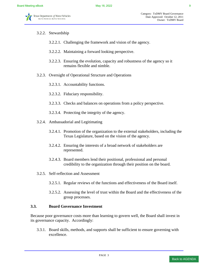#### 3.2.2. Stewardship

- 3.2.2.1. Challenging the framework and vision of the agency.
- 3.2.2.2. Maintaining a forward looking perspective.
- 3.2.2.3. Ensuring the evolution, capacity and robustness of the agency so it remains flexible and nimble.
- 3.2.3. Oversight of Operational Structure and Operations
	- 3.2.3.1. Accountability functions.
	- 3.2.3.2. Fiduciary responsibility.
	- 3.2.3.3. Checks and balances on operations from a policy perspective.
	- 3.2.3.4. Protecting the integrity of the agency.
- 3.2.4. Ambassadorial and Legitimating
	- 3.2.4.1. Promotion of the organization to the external stakeholders, including the Texas Legislature, based on the vision of the agency.
	- 3.2.4.2. Ensuring the interests of a broad network of stakeholders are represented.
	- 3.2.4.3. Board members lend their positional, professional and personal credibility to the organization through their position on the board.
- 3.2.5. Self-reflection and Assessment
	- 3.2.5.1. Regular reviews of the functions and effectiveness of the Board itself.
	- 3.2.5.2. Assessing the level of trust within the Board and the effectiveness of the group processes.

#### **3.3. Board Governance Investment**

Because poor governance costs more than learning to govern well, the Board shall invest in its governance capacity. Accordingly:

3.3.1. Board skills, methods, and supports shall be sufficient to ensure governing with excellence.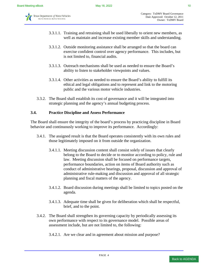

- 3.3.1.1. Training and retraining shall be used liberally to orient new members, as well as maintain and increase existing member skills and understanding.
- 3.3.1.2. Outside monitoring assistance shall be arranged so that the board can exercise confident control over agency performance. This includes, but is not limited to, financial audits.
- 3.3.1.3. Outreach mechanisms shall be used as needed to ensure the Board's ability to listen to stakeholder viewpoints and values.
- 3.3.1.4. Other activities as needed to ensure the Board's ability to fulfill its ethical and legal obligations and to represent and link to the motoring public and the various motor vehicle industries.
- 3.3.2. The Board shall establish its cost of governance and it will be integrated into strategic planning and the agency's annual budgeting process.

# **3.4. Practice Discipline and Assess Performance**

The Board shall ensure the integrity of the board's process by practicing discipline in Board behavior and continuously working to improve its performance. Accordingly:

- 3.4.1. The assigned result is that the Board operates consistently with its own rules and those legitimately imposed on it from outside the organization.
	- 3.4.1.1. Meeting discussion content shall consist solely of issues that clearly belong to the Board to decide or to monitor according to policy, rule and law. Meeting discussion shall be focused on performance targets, performance boundaries, action on items of Board authority such as conduct of administrative hearings, proposal, discussion and approval of administrative rule-making and discussion and approval of all strategic planning and fiscal matters of the agency.
	- 3.4.1.2. Board discussion during meetings shall be limited to topics posted on the agenda.
	- 3.4.1.3. Adequate time shall be given for deliberation which shall be respectful, brief, and to the point.
- 3.4.2. The Board shall strengthen its governing capacity by periodically assessing its own performance with respect to its governance model. Possible areas of assessment include, but are not limited to, the following:
	- 3.4.2.1. Are we clear and in agreement about mission and purpose?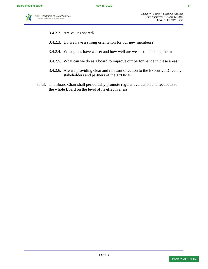- 3.4.2.2. Are values shared?
- 3.4.2.3. Do we have a strong orientation for our new members?
- 3.4.2.4. What goals have we set and how well are we accomplishing them?
- 3.4.2.5. What can we do as a board to improve our performance in these areas?
- 3.4.2.6. Are we providing clear and relevant direction to the Executive Director, stakeholders and partners of the TxDMV?
- 3.4.3. The Board Chair shall periodically promote regular evaluation and feedback to the whole Board on the level of its effectiveness.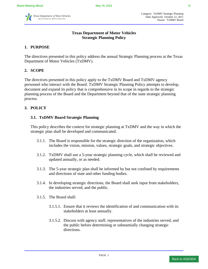<span id="page-11-0"></span>

Category: TxDMV Strategic Planning Date Approved: October 12, 2011 Owner: TxDMV Board

# **Texas Department of Motor Vehicles Strategic Planning Policy**

# **1. PURPOSE**

The directives presented in this policy address the annual Strategic Planning process at the Texas Department of Motor Vehicles (TxDMV).

#### **2. SCOPE**

The directives presented in this policy apply to the TxDMV Board and TxDMV agency personnel who interact with the Board. TxDMV Strategic Planning Policy attempts to develop, document and expand its policy that is comprehensive in its scope in regards to the strategic planning process of the Board and the Department beyond that of the state strategic planning process.

#### **3. POLICY**

#### **3.1. TxDMV Board Strategic Planning**

This policy describes the context for strategic planning at TxDMV and the way in which the strategic plan shall be developed and communicated.

- 3.1.1. The Board is responsible for the strategic direction of the organization, which includes the vision, mission, values, strategic goals, and strategic objectives.
- 3.1.2. TxDMV shall use a 5-year strategic planning cycle, which shall be reviewed and updated annually, or as needed.
- 3.1.3. The 5-year strategic plan shall be informed by but not confined by requirements and directions of state and other funding bodies.
- 3.1.4. In developing strategic directions, the Board shall seek input from stakeholders, the industries served, and the public.
- 3.1.5. The Board shall:
	- 3.1.5.1. Ensure that it reviews the identification of and communication with its stakeholders at least annually.
	- 3.1.5.2. Discuss with agency staff, representatives of the industries served, and the public before determining or substantially changing strategic directions.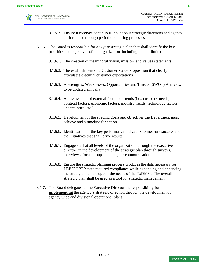

- 3.1.5.3. Ensure it receives continuous input about strategic directions and agency performance through periodic reporting processes.
- 3.1.6. The Board is responsible for a 5-year strategic plan that shall identify the key priorities and objectives of the organization, including but not limited to:
	- 3.1.6.1. The creation of meaningful vision, mission, and values statements.
	- 3.1.6.2. The establishment of a Customer Value Proposition that clearly articulates essential customer expectations.
	- 3.1.6.3. A Strengths, Weaknesses, Opportunities and Threats (SWOT) Analysis, to be updated annually.
	- 3.1.6.4. An assessment of external factors or trends (i.e., customer needs, political factors, economic factors, industry trends, technology factors, uncertainties, etc.)
	- 3.1.6.5. Development of the specific goals and objectives the Department must achieve and a timeline for action.
	- 3.1.6.6. Identification of the key performance indicators to measure success and the initiatives that shall drive results.
	- 3.1.6.7. Engage staff at all levels of the organization, through the executive director, in the development of the strategic plan through surveys, interviews, focus groups, and regular communication.
	- 3.1.6.8. Ensure the strategic planning process produces the data necessary for LBB/GOBPP state required compliance while expanding and enhancing the strategic plan to support the needs of the TxDMV. The overall strategic plan shall be used as a tool for strategic management.
- 3.1.7. The Board delegates to the Executive Director the responsibility for **implementing** the agency's strategic direction through the development of agency wide and divisional operational plans.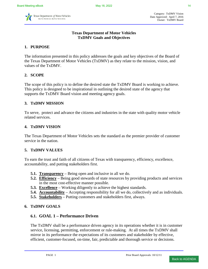<span id="page-13-0"></span>

Category: TxDMV Vision Date Approved: April 7, 2016 Owner: TxDMV Board

#### **Texas Department of Motor Vehicles TxDMV Goals and Objectives**

# **1. PURPOSE**

The information presented in this policy addresses the goals and key objectives of the Board of the Texas Department of Motor Vehicles (TxDMV) as they relate to the mission, vision, and values of the TxDMV.

#### **2. SCOPE**

The scope of this policy is to define the desired state the TxDMV Board is working to achieve. This policy is designed to be inspirational in outlining the desired state of the agency that supports the TxDMV Board vision and meeting agency goals.

#### **3. TxDMV MISSION**

To serve, protect and advance the citizens and industries in the state with quality motor vehicle related services.

#### **4. TxDMV VISION**

The Texas Department of Motor Vehicles sets the standard as the premier provider of customer service in the nation.

#### **5. TxDMV VALUES**

To earn the trust and faith of all citizens of Texas with transparency, efficiency, excellence, accountability, and putting stakeholders first.

- **5.1. Transparency** Being open and inclusive in all we do.
- **5.2. Efficiency** Being good stewards of state resources by providing products and services in the most cost-effective manner possible.
- **5.3. Excellence** Working diligently to achieve the highest standards.
- **5.4. Accountability** Accepting responsibility for all we do, collectively and as individuals.
- **5.5. Stakeholders** Putting customers and stakeholders first, always.

#### **6. TxDMV GOALS**

# **6.1. GOAL 1 – Performance Driven**

The TxDMV shall be a performance driven agency in its operations whether it is in customer service, licensing, permitting, enforcement or rule-making. At all times the TxDMV shall mirror in its performance the expectations of its customers and stakeholder by effective, efficient, customer-focused, on-time, fair, predictable and thorough service or decisions.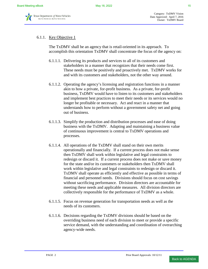# 6.1.1. Key Objective 1

The TxDMV shall be an agency that is retail-oriented in its approach. To accomplish this orientation TxDMV shall concentrate the focus of the agency on:

- 6.1.1.1. Delivering its products and services to all of its customers and stakeholders in a manner that recognizes that their needs come first. These needs must be positively and proactively met. TxDMV works for and with its customers and stakeholders, not the other way around.
- 6.1.1.2. Operating the agency's licensing and registration functions in a manner akin to how a private, for-profit business. As a private, for-profit business, TxDMV would have to listen to its customers and stakeholders and implement best practices to meet their needs or its services would no longer be profitable or necessary. Act and react in a manner that understands how to perform without a government safety net and going out of business.
- 6.1.1.3. Simplify the production and distribution processes and ease of doing business with the TxDMV. Adapting and maintaining a business value of continuous improvement is central to TxDMV operations and processes.
- 6.1.1.4. All operations of the TxDMV shall stand on their own merits operationally and financially. If a current process does not make sense then TxDMV shall work within legislative and legal constraints to redesign or discard it. If a current process does not make or save money for the state and/or its customers or stakeholders then TxDMV shall work within legislative and legal constraints to redesign or discard it. TxDMV shall operate as efficiently and effective as possible in terms of financial and personnel needs. Divisions should focus on cost savings without sacrificing performance. Division directors are accountable for meeting these needs and applicable measures. All division directors are collectively responsible for the performance of TxDMV as a whole.
- 6.1.1.5. Focus on revenue generation for transportation needs as well as the needs of its customers.
- 6.1.1.6. Decisions regarding the TxDMV divisions should be based on the overriding business need of each division to meet or provide a specific service demand, with the understanding and coordination of overarching agency-wide needs.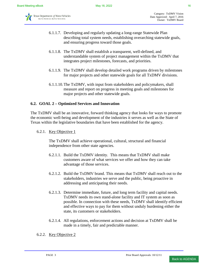

- 6.1.1.7. Developing and regularly updating a long-range Statewide Plan describing total system needs, establishing overarching statewide goals, and ensuring progress toward those goals.
- 6.1.1.8. The TxDMV shall establish a transparent, well-defined, and understandable system of project management within the TxDMV that integrates project milestones, forecasts, and priorities.
- 6.1.1.9. The TxDMV shall develop detailed work programs driven by milestones for major projects and other statewide goals for all TxDMV divisions.
- 6.1.1.10.The TxDMV, with input from stakeholders and policymakers, shall measure and report on progress in meeting goals and milestones for major projects and other statewide goals.

# **6.2. GOAL 2 – Optimized Services and Innovation**

The TxDMV shall be an innovative, forward thinking agency that looks for ways to promote the economic well-being and development of the industries it serves as well as the State of Texas within the legislative boundaries that have been established for the agency.

6.2.1. Key Objective 1

The TxDMV shall achieve operational, cultural, structural and financial independence from other state agencies.

- 6.2.1.1. Build the TxDMV identity. This means that TxDMV shall make customers aware of what services we offer and how they can take advantage of those services.
- 6.2.1.2. Build the TxDMV brand. This means that TxDMV shall reach out to the stakeholders, industries we serve and the public, being proactive in addressing and anticipating their needs.
- 6.2.1.3. Determine immediate, future, and long term facility and capital needs. TxDMV needs its own stand-alone facility and IT system as soon as possible. In connection with these needs, TxDMV shall identify efficient and effective ways to pay for them without unduly burdening either the state, its customers or stakeholders.
- 6.2.1.4. All regulations, enforcement actions and decision at TxDMV shall be made in a timely, fair and predictable manner.
- 6.2.2. Key Objective 2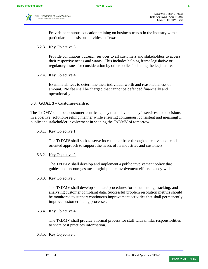

Provide continuous education training on business trends in the industry with a particular emphasis on activities in Texas.

#### 6.2.3. Key Objective 3

Provide continuous outreach services to all customers and stakeholders to access their respective needs and wants. This includes helping frame legislative or regulatory issues for consideration by other bodies including the legislature.

#### 6.2.4. Key Objective 4

Examine all fees to determine their individual worth and reasonableness of amount. No fee shall be charged that cannot be defended financially and operationally.

#### **6.3. GOAL 3 – Customer-centric**

The TxDMV shall be a customer-centric agency that delivers today's services and decisions in a positive, solution-seeking manner while ensuring continuous, consistent and meaningful public and stakeholder involvement in shaping the TxDMV of tomorrow.

#### 6.3.1. Key Objective 1

The TxDMV shall seek to serve its customer base through a creative and retail oriented approach to support the needs of its industries and customers.

#### 6.3.2. Key Objective 2

The TxDMV shall develop and implement a public involvement policy that guides and encourages meaningful public involvement efforts agency-wide.

#### 6.3.3. Key Objective 3

The TxDMV shall develop standard procedures for documenting, tracking, and analyzing customer complaint data. Successful problem resolution metrics should be monitored to support continuous improvement activities that shall permanently improve customer facing processes.

#### 6.3.4. Key Objective 4

The TxDMV shall provide a formal process for staff with similar responsibilities to share best practices information.

#### 6.3.5. Key Objective 5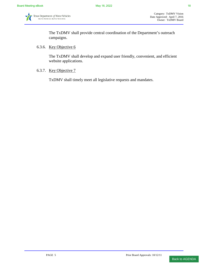The TxDMV shall provide central coordination of the Department's outreach campaigns.

#### 6.3.6. Key Objective 6

The TxDMV shall develop and expand user friendly, convenient, and efficient website applications.

6.3.7. Key Objective 7

TxDMV shall timely meet all legislative requests and mandates.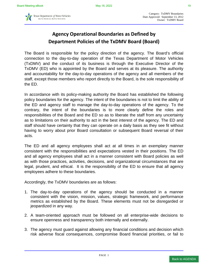<span id="page-18-0"></span>

# **Agency Operational Boundaries as Defined by Department Policies of the TxDMV Board (Board)**

The Board is responsible for the policy direction of the agency. The Board's official connection to the day-to-day operation of the Texas Department of Motor Vehicles (TxDMV) and the conduct of its business is through the Executive Director of the TxDMV (ED) who is appointed by the Board and serves at its pleasure. The authority and accountability for the day-to-day operations of the agency and all members of the staff, except those members who report directly to the Board, is the sole responsibility of the ED.

In accordance with its policy-making authority the Board has established the following policy boundaries for the agency. The intent of the boundaries is not to limit the ability of the ED and agency staff to manage the day-to-day operations of the agency. To the contrary, the intent of the boundaries is to more clearly define the roles and responsibilities of the Board and the ED so as to liberate the staff from any uncertainty as to limitations on their authority to act in the best interest of the agency. The ED and staff should have certainty that they can operate on a daily basis as they see fit without having to worry about prior Board consultation or subsequent Board reversal of their acts.

The ED and all agency employees shall act at all times in an exemplary manner consistent with the responsibilities and expectations vested in their positions. The ED and all agency employees shall act in a manner consistent with Board policies as well as with those practices, activities, decisions, and organizational circumstances that are legal, prudent, and ethical. It is the responsibility of the ED to ensure that all agency employees adhere to these boundaries.

Accordingly, the TxDMV boundaries are as follows:

- 1. The day-to-day operations of the agency should be conducted in a manner consistent with the vision, mission, values, strategic framework, and performance metrics as established by the Board. These elements must not be disregarded or jeopardized in any way.
- 2. A team-oriented approach must be followed on all enterprise-wide decisions to ensure openness and transparency both internally and externally.
- 3. The agency must guard against allowing any financial conditions and decision which risk adverse fiscal consequences, compromise Board financial priorities, or fail to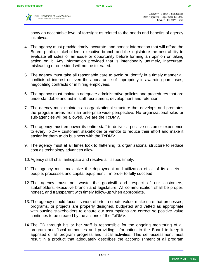

show an acceptable level of foresight as related to the needs and benefits of agency initiatives.

- 4. The agency must provide timely, accurate, and honest information that will afford the Board, public, stakeholders, executive branch and the legislature the best ability to evaluate all sides of an issue or opportunity before forming an opinion or taking action on it. Any information provided that is intentionally untimely, inaccurate, misleading or one-sided will not be tolerated.
- 5. The agency must take all reasonable care to avoid or identify in a timely manner all conflicts of interest or even the appearance of impropriety in awarding purchases, negotiating contracts or in hiring employees.
- 6. The agency must maintain adequate administrative policies and procedures that are understandable and aid in staff recruitment, development and retention.
- 7. The agency must maintain an organizational structure that develops and promotes the program areas from an enterprise-wide perspective. No organizational silos or sub-agencies will be allowed. We are the TxDMV.
- 8. The agency must empower its entire staff to deliver a positive customer experience to every TxDMV customer, stakeholder or vendor to reduce their effort and make it easier for them to do business with the TxDMV.
- 9. The agency must at all times look to flattening its organizational structure to reduce cost as technology advances allow.
- 10. Agency staff shall anticipate and resolve all issues timely.
- 11. The agency must maximize the deployment and utilization of all of its assets people, processes and capital equipment – in order to fully succeed.
- 12. The agency must not waste the goodwill and respect of our customers, stakeholders, executive branch and legislature. All communication shall be proper, honest, and transparent with timely follow-up when appropriate.
- 13. The agency should focus its work efforts to create value, make sure that processes, programs, or projects are properly designed, budgeted and vetted as appropriate with outside stakeholders to ensure our assumptions are correct so positive value continues to be created by the actions of the TxDMV.
- 14. The ED through his or her staff is responsible for the ongoing monitoring of all program and fiscal authorities and providing information to the Board to keep it apprised of all program progress and fiscal activities. This self-assessment must result in a product that adequately describes the accomplishment of all program